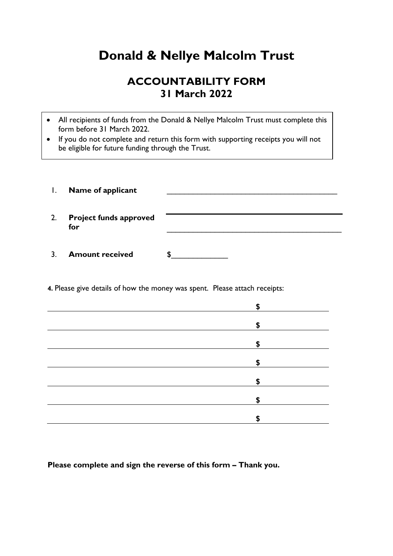## **Donald & Nellye Malcolm Trust**

## **ACCOUNTABILITY FORM 31 March 2022**

- All recipients of funds from the Donald & Nellye Malcolm Trust must complete this form before 31 March 2022.
- If you do not complete and return this form with supporting receipts you will not be eligible for future funding through the Trust.

| $\mathbf{I}$ . | Name of applicant                    |    |
|----------------|--------------------------------------|----|
| 2.             | <b>Project funds approved</b><br>for |    |
|                | <b>Amount received</b>               | J. |

**4.** Please give details of how the money was spent. Please attach receipts:

| \$                        |
|---------------------------|
| $\mathsf{\$}$             |
| \$                        |
| $\boldsymbol{\mathsf{S}}$ |
| \$                        |
|                           |
| \$                        |
| ¢<br>ф                    |

**Please complete and sign the reverse of this form – Thank you.**